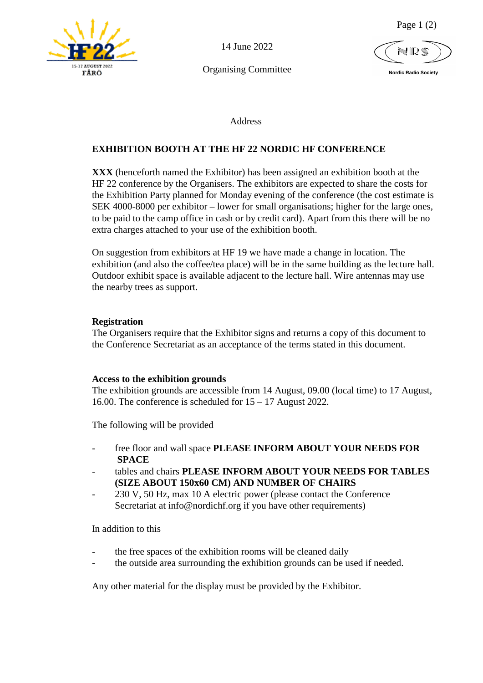

14 June 2022

Organising Committee

Page 1 (2)

 **Nordic Radio Society**

Address

# **EXHIBITION BOOTH AT THE HF 22 NORDIC HF CONFERENCE**

**XXX** (henceforth named the Exhibitor) has been assigned an exhibition booth at the HF 22 conference by the Organisers. The exhibitors are expected to share the costs for the Exhibition Party planned for Monday evening of the conference (the cost estimate is SEK 4000-8000 per exhibitor – lower for small organisations; higher for the large ones, to be paid to the camp office in cash or by credit card). Apart from this there will be no extra charges attached to your use of the exhibition booth.

On suggestion from exhibitors at HF 19 we have made a change in location. The exhibition (and also the coffee/tea place) will be in the same building as the lecture hall. Outdoor exhibit space is available adjacent to the lecture hall. Wire antennas may use the nearby trees as support.

# **Registration**

The Organisers require that the Exhibitor signs and returns a copy of this document to the Conference Secretariat as an acceptance of the terms stated in this document.

#### **Access to the exhibition grounds**

The exhibition grounds are accessible from 14 August, 09.00 (local time) to 17 August, 16.00. The conference is scheduled for 15 – 17 August 2022.

The following will be provided

- free floor and wall space **PLEASE INFORM ABOUT YOUR NEEDS FOR SPACE**
- tables and chairs **PLEASE INFORM ABOUT YOUR NEEDS FOR TABLES (SIZE ABOUT 150x60 CM) AND NUMBER OF CHAIRS**
- 230 V, 50 Hz, max 10 A electric power (please contact the Conference Secretariat at info@nordichf.org if you have other requirements)

In addition to this

- the free spaces of the exhibition rooms will be cleaned daily
- the outside area surrounding the exhibition grounds can be used if needed.

Any other material for the display must be provided by the Exhibitor.